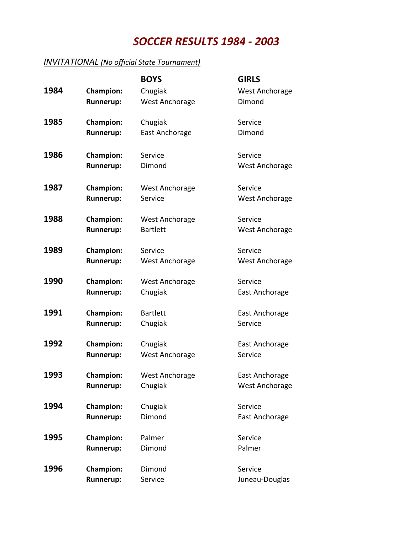## *SOCCER RESULTS 1984 - 2003*

## **INVITATIONAL** (No official State Tournament)

|      |                  | <b>BOYS</b>           | <b>GIRLS</b>          |
|------|------------------|-----------------------|-----------------------|
| 1984 | <b>Champion:</b> | Chugiak               | <b>West Anchorage</b> |
|      | <b>Runnerup:</b> | West Anchorage        | Dimond                |
| 1985 | <b>Champion:</b> | Chugiak               | Service               |
|      | <b>Runnerup:</b> | East Anchorage        | Dimond                |
| 1986 | <b>Champion:</b> | Service               | Service               |
|      | <b>Runnerup:</b> | Dimond                | West Anchorage        |
| 1987 | <b>Champion:</b> | West Anchorage        | Service               |
|      | <b>Runnerup:</b> | Service               | West Anchorage        |
| 1988 | <b>Champion:</b> | <b>West Anchorage</b> | Service               |
|      | <b>Runnerup:</b> | <b>Bartlett</b>       | West Anchorage        |
| 1989 | <b>Champion:</b> | Service               | Service               |
|      | <b>Runnerup:</b> | West Anchorage        | West Anchorage        |
| 1990 | <b>Champion:</b> | West Anchorage        | Service               |
|      | <b>Runnerup:</b> | Chugiak               | East Anchorage        |
| 1991 | <b>Champion:</b> | <b>Bartlett</b>       | East Anchorage        |
|      | <b>Runnerup:</b> | Chugiak               | Service               |
| 1992 | <b>Champion:</b> | Chugiak               | East Anchorage        |
|      | <b>Runnerup:</b> | West Anchorage        | Service               |
| 1993 | <b>Champion:</b> | <b>West Anchorage</b> | East Anchorage        |
|      | <b>Runnerup:</b> | Chugiak               | West Anchorage        |
| 1994 | <b>Champion:</b> | Chugiak               | Service               |
|      | <b>Runnerup:</b> | Dimond                | East Anchorage        |
| 1995 | <b>Champion:</b> | Palmer                | Service               |
|      | <b>Runnerup:</b> | Dimond                | Palmer                |
| 1996 | <b>Champion:</b> | Dimond                | Service               |
|      | <b>Runnerup:</b> | Service               | Juneau-Douglas        |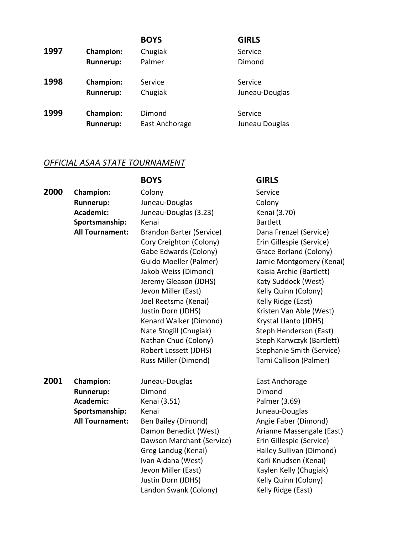| 1997 | <b>Champion:</b><br><b>Runnerup:</b> | <b>BOYS</b><br>Chugiak<br>Palmer | <b>GIRLS</b><br>Service<br>Dimond |
|------|--------------------------------------|----------------------------------|-----------------------------------|
| 1998 | <b>Champion:</b>                     | Service                          | Service                           |
|      | <b>Runnerup:</b>                     | Chugiak                          | Juneau-Douglas                    |
| 1999 | <b>Champion:</b>                     | Dimond                           | Service                           |
|      | <b>Runnerup:</b>                     | East Anchorage                   | Juneau Douglas                    |

## **OFFICIAL ASAA STATE TOURNAMENT**

|      |                        | <b>BOYS</b>                     | <b>GIRLS</b>                     |
|------|------------------------|---------------------------------|----------------------------------|
| 2000 | <b>Champion:</b>       | Colony                          | Service                          |
|      | <b>Runnerup:</b>       | Juneau-Douglas                  | Colony                           |
|      | <b>Academic:</b>       | Juneau-Douglas (3.23)           | Kenai (3.70)                     |
|      | Sportsmanship:         | Kenai                           | <b>Bartlett</b>                  |
|      | <b>All Tournament:</b> | <b>Brandon Barter (Service)</b> | Dana Frenzel (Service)           |
|      |                        | Cory Creighton (Colony)         | Erin Gillespie (Service)         |
|      |                        | Gabe Edwards (Colony)           | Grace Borland (Colony)           |
|      |                        | Guido Moeller (Palmer)          | Jamie Montgomery (Kenai)         |
|      |                        | Jakob Weiss (Dimond)            | Kaisia Archie (Bartlett)         |
|      |                        | Jeremy Gleason (JDHS)           | Katy Suddock (West)              |
|      |                        | Jevon Miller (East)             | Kelly Quinn (Colony)             |
|      |                        | Joel Reetsma (Kenai)            | Kelly Ridge (East)               |
|      |                        | Justin Dorn (JDHS)              | Kristen Van Able (West)          |
|      |                        | Kenard Walker (Dimond)          | Krystal Llanto (JDHS)            |
|      |                        | Nate Stogill (Chugiak)          | Steph Henderson (East)           |
|      |                        | Nathan Chud (Colony)            | Steph Karwczyk (Bartlett)        |
|      |                        | Robert Lossett (JDHS)           | <b>Stephanie Smith (Service)</b> |
|      |                        | Russ Miller (Dimond)            | Tami Callison (Palmer)           |
| 2001 | <b>Champion:</b>       | Juneau-Douglas                  | East Anchorage                   |
|      | <b>Runnerup:</b>       | Dimond                          | Dimond                           |
|      | <b>Academic:</b>       | Kenai (3.51)                    | Palmer (3.69)                    |
|      | Sportsmanship:         | Kenai                           | Juneau-Douglas                   |
|      | <b>All Tournament:</b> | Ben Bailey (Dimond)             | Angie Faber (Dimond)             |
|      |                        | Damon Benedict (West)           | Arianne Massengale (East)        |
|      |                        | Dawson Marchant (Service)       | Erin Gillespie (Service)         |
|      |                        | Greg Landug (Kenai)             | Hailey Sullivan (Dimond)         |
|      |                        | Ivan Aldana (West)              | Karli Knudsen (Kenai)            |
|      |                        | Jevon Miller (East)             | Kaylen Kelly (Chugiak)           |
|      |                        | Justin Dorn (JDHS)              | Kelly Quinn (Colony)             |
|      |                        | Landon Swank (Colony)           | Kelly Ridge (East)               |